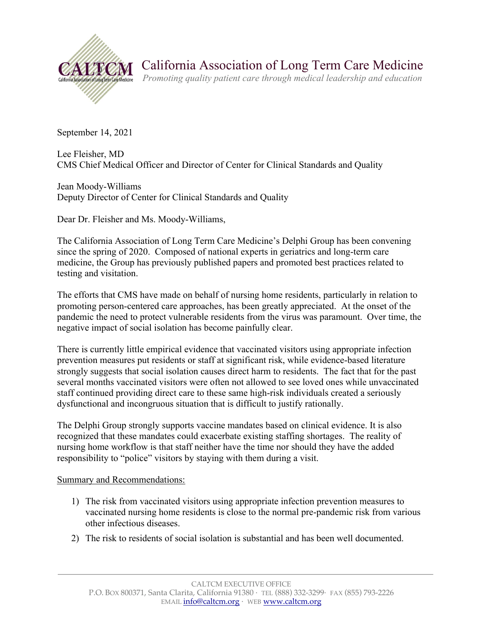

California Association of Long Term Care Medicine

*Promoting quality patient care through medical leadership and education*

September 14, 2021

Lee Fleisher, MD CMS Chief Medical Officer and Director of Center for Clinical Standards and Quality

Jean Moody-Williams Deputy Director of Center for Clinical Standards and Quality

Dear Dr. Fleisher and Ms. Moody-Williams,

The California Association of Long Term Care Medicine's Delphi Group has been convening since the spring of 2020. Composed of national experts in geriatrics and long-term care medicine, the Group has previously published papers and promoted best practices related to testing and visitation.

The efforts that CMS have made on behalf of nursing home residents, particularly in relation to promoting person-centered care approaches, has been greatly appreciated. At the onset of the pandemic the need to protect vulnerable residents from the virus was paramount. Over time, the negative impact of social isolation has become painfully clear.

There is currently little empirical evidence that vaccinated visitors using appropriate infection prevention measures put residents or staff at significant risk, while evidence-based literature strongly suggests that social isolation causes direct harm to residents. The fact that for the past several months vaccinated visitors were often not allowed to see loved ones while unvaccinated staff continued providing direct care to these same high-risk individuals created a seriously dysfunctional and incongruous situation that is difficult to justify rationally.

The Delphi Group strongly supports vaccine mandates based on clinical evidence. It is also recognized that these mandates could exacerbate existing staffing shortages. The reality of nursing home workflow is that staff neither have the time nor should they have the added responsibility to "police" visitors by staying with them during a visit.

Summary and Recommendations:

- 1) The risk from vaccinated visitors using appropriate infection prevention measures to vaccinated nursing home residents is close to the normal pre-pandemic risk from various other infectious diseases.
- 2) The risk to residents of social isolation is substantial and has been well documented.